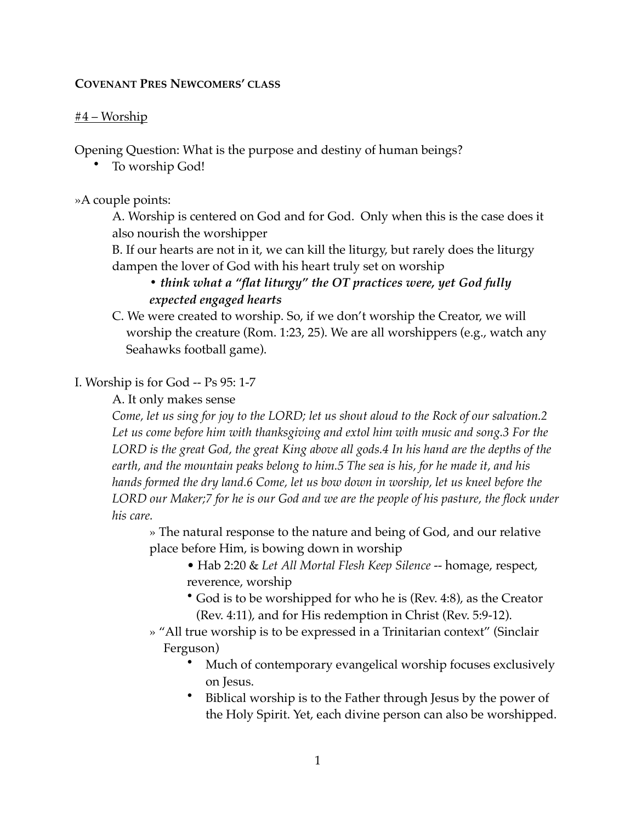#### **COVENANT PRES NEWCOMERS' CLASS**

### $#4 - Worship$

Opening Question: What is the purpose and destiny of human beings?

• To worship God!

»A couple points:

A. Worship is centered on God and for God. Only when this is the case does it also nourish the worshipper

B. If our hearts are not in it, we can kill the liturgy, but rarely does the liturgy dampen the lover of God with his heart truly set on worship

# *• think what a "flat liturgy" the OT practices were, yet God fully expected engaged hearts*

C. We were created to worship. So, if we don't worship the Creator, we will worship the creature (Rom. 1:23, 25). We are all worshippers (e.g., watch any Seahawks football game).

## I. Worship is for God -- Ps 95: 1-7

A. It only makes sense

*Come, let us sing for joy to the LORD; let us shout aloud to the Rock of our salvation.2 Let us come before him with thanksgiving and extol him with music and song.3 For the LORD is the great God, the great King above all gods.4 In his hand are the depths of the earth, and the mountain peaks belong to him.5 The sea is his, for he made it, and his hands formed the dry land.6 Come, let us bow down in worship, let us kneel before the*  LORD our Maker;7 for he is our God and we are the people of his pasture, the flock under *his care.*

» The natural response to the nature and being of God, and our relative place before Him, is bowing down in worship

- Hab 2:20 & *Let All Mortal Flesh Keep Silence* -- homage, respect, reverence, worship
- God is to be worshipped for who he is (Rev. 4:8), as the Creator (Rev. 4:11), and for His redemption in Christ (Rev. 5:9-12).
- » "All true worship is to be expressed in a Trinitarian context" (Sinclair Ferguson)
	- Much of contemporary evangelical worship focuses exclusively on Jesus.
	- Biblical worship is to the Father through Jesus by the power of the Holy Spirit. Yet, each divine person can also be worshipped.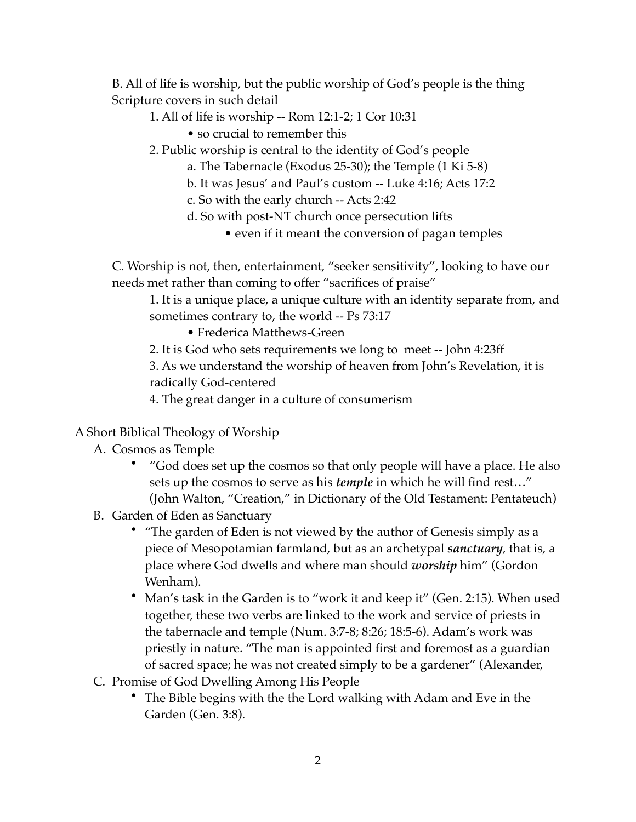B. All of life is worship, but the public worship of God's people is the thing Scripture covers in such detail

- 1. All of life is worship -- Rom 12:1-2; 1 Cor 10:31
	- so crucial to remember this
- 2. Public worship is central to the identity of God's people
	- a. The Tabernacle (Exodus 25-30); the Temple (1 Ki 5-8)
	- b. It was Jesus' and Paul's custom -- Luke 4:16; Acts 17:2
	- c. So with the early church -- Acts 2:42
	- d. So with post-NT church once persecution lifts
		- even if it meant the conversion of pagan temples

C. Worship is not, then, entertainment, "seeker sensitivity", looking to have our needs met rather than coming to offer "sacrifices of praise"

1. It is a unique place, a unique culture with an identity separate from, and sometimes contrary to, the world -- Ps 73:17

• Frederica Matthews-Green

2. It is God who sets requirements we long to meet -- John 4:23ff

3. As we understand the worship of heaven from John's Revelation, it is radically God-centered

4. The great danger in a culture of consumerism

- A Short Biblical Theology of Worship
	- A. Cosmos as Temple
		- "God does set up the cosmos so that only people will have a place. He also sets up the cosmos to serve as his *temple* in which he will find rest…" (John Walton, "Creation," in Dictionary of the Old Testament: Pentateuch)
	- B. Garden of Eden as Sanctuary
		- "The garden of Eden is not viewed by the author of Genesis simply as a piece of Mesopotamian farmland, but as an archetypal *sanctuary*, that is, a place where God dwells and where man should *worship* him" (Gordon Wenham).
		- Man's task in the Garden is to "work it and keep it" (Gen. 2:15). When used together, these two verbs are linked to the work and service of priests in the tabernacle and temple (Num. 3:7-8; 8:26; 18:5-6). Adam's work was priestly in nature. "The man is appointed first and foremost as a guardian of sacred space; he was not created simply to be a gardener" (Alexander,
	- C. Promise of God Dwelling Among His People
		- The Bible begins with the the Lord walking with Adam and Eve in the Garden (Gen. 3:8).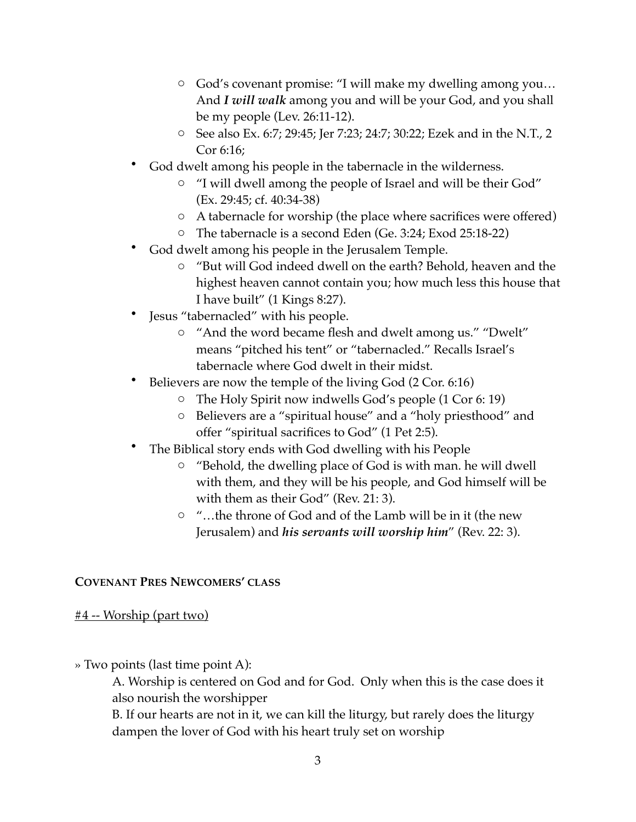- o God's covenant promise: "I will make my dwelling among you… And *I will walk* among you and will be your God, and you shall be my people (Lev. 26:11-12).
- o See also Ex. 6:7; 29:45; Jer 7:23; 24:7; 30:22; Ezek and in the N.T., 2 Cor 6:16;
- God dwelt among his people in the tabernacle in the wilderness.
	- o "I will dwell among the people of Israel and will be their God" (Ex. 29:45; cf. 40:34-38)
	- o A tabernacle for worship (the place where sacrifices were offered)
	- o The tabernacle is a second Eden (Ge. 3:24; Exod 25:18-22)
- God dwelt among his people in the Jerusalem Temple.
	- o "But will God indeed dwell on the earth? Behold, heaven and the highest heaven cannot contain you; how much less this house that I have built" (1 Kings 8:27).
- Jesus "tabernacled" with his people.
	- o "And the word became flesh and dwelt among us." "Dwelt" means "pitched his tent" or "tabernacled." Recalls Israel's tabernacle where God dwelt in their midst.
- Believers are now the temple of the living God (2 Cor. 6:16)
	- o The Holy Spirit now indwells God's people (1 Cor 6: 19)
	- o Believers are a "spiritual house" and a "holy priesthood" and offer "spiritual sacrifices to God" (1 Pet 2:5).
- The Biblical story ends with God dwelling with his People
	- o "Behold, the dwelling place of God is with man. he will dwell with them, and they will be his people, and God himself will be with them as their God" (Rev. 21: 3).
	- o "…the throne of God and of the Lamb will be in it (the new Jerusalem) and *his servants will worship him*" (Rev. 22: 3).

## **COVENANT PRES NEWCOMERS' CLASS**

#4 -- Worship (part two)

» Two points (last time point A):

A. Worship is centered on God and for God. Only when this is the case does it also nourish the worshipper

B. If our hearts are not in it, we can kill the liturgy, but rarely does the liturgy dampen the lover of God with his heart truly set on worship